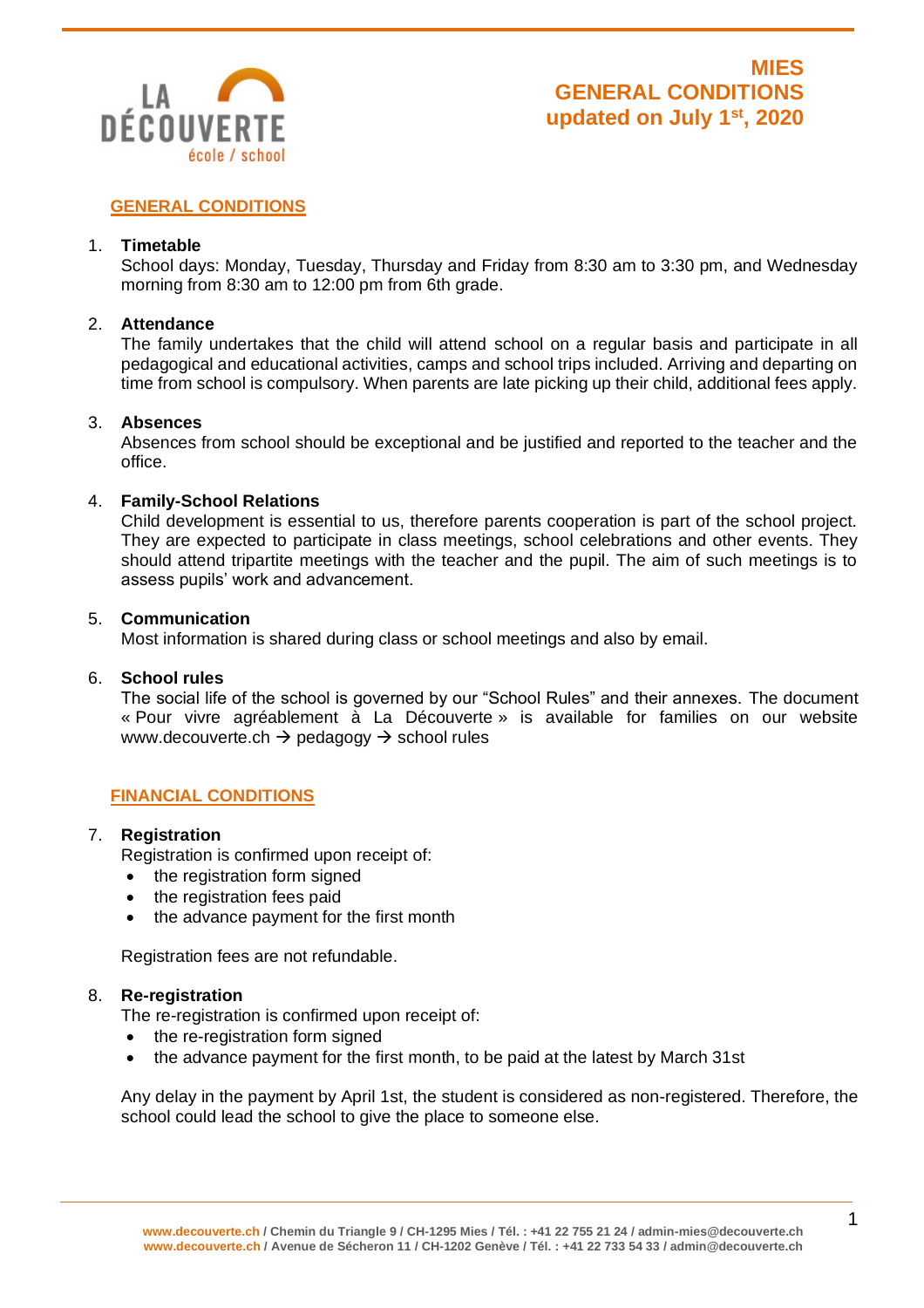

# **GENERAL CONDITIONS**

### 1. **Timetable**

School days: Monday, Tuesday, Thursday and Friday from 8:30 am to 3:30 pm, and Wednesday morning from 8:30 am to 12:00 pm from 6th grade.

### 2. **Attendance**

The family undertakes that the child will attend school on a regular basis and participate in all pedagogical and educational activities, camps and school trips included. Arriving and departing on time from school is compulsory. When parents are late picking up their child, additional fees apply.

### 3. **Absences**

Absences from school should be exceptional and be justified and reported to the teacher and the office.

### 4. **Family-School Relations**

Child development is essential to us, therefore parents cooperation is part of the school project. They are expected to participate in class meetings, school celebrations and other events. They should attend tripartite meetings with the teacher and the pupil. The aim of such meetings is to assess pupils' work and advancement.

### 5. **Communication**

Most information is shared during class or school meetings and also by email.

### 6. **School rules**

The social life of the school is governed by our "School Rules" and their annexes. The document « Pour vivre agréablement à La Découverte » is available for families on our website www.decouverte.ch → pedagogy → school rules

### **FINANCIAL CONDITIONS**

### 7. **Registration**

Registration is confirmed upon receipt of:

- the registration form signed
- the registration fees paid
- the advance payment for the first month

Registration fees are not refundable.

### 8. **Re-registration**

The re-registration is confirmed upon receipt of:

- the re-registration form signed
- the advance payment for the first month, to be paid at the latest by March 31st

Any delay in the payment by April 1st, the student is considered as non-registered. Therefore, the school could lead the school to give the place to someone else.